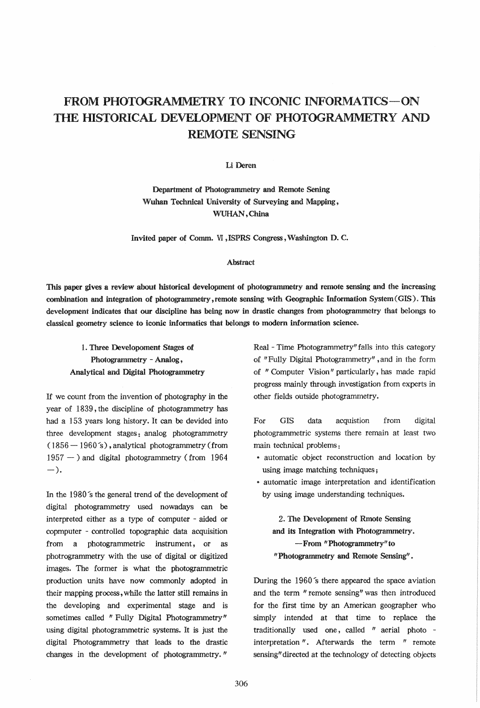# FROM PHOTOGRAMMETRY TO INCONIC INFORMATICS-ON THE HISTORICAL DEVELOPMENT OF PHOTOGRAMMETRY AND REMOTE SENSING

### Li Deren

Department of Photogrammetry and Remote Sening Wuhan Technical University of Surveying and Mapping, WUHAN, China

Invited paper of Comm. VI ,ISPRS Congress, Washington D. C.

#### Abstract

This paper gives a review about historical development of photogrammetry and remote sensing and the increasing combination and integration of photogrammetry, remote sensing with Geographic Information System (GIS). This development indicates that our discipline has being now in drastic changes from photogrammetry that belongs to classical geometry science to iconic informatics that belongs to modern information science.

# 1. Three Developoment Stages of Photogrammetry - Analog, Analytical and Digital Photogrammetry

If we count from the invention of photography in the year of 1839, the discipline of photogrammetry has had a 153 years long history. It can be devided into three development stages: analog photogrammetry  $(1856 - 1960 s)$ , analytical photogrammetry (from  $1957 -$ ) and digital photogrammetry (from 1964  $-$ ).

In the 1980's the general trend of the development of digital photogrammetry used nowadays can be interpreted either as a type of computer - aided or copmputer - controlled topographic data acquisition from a photogrammetric instrument, or as photrogrammetry with the use of digital or digitized images. The former is what the photogrammetric production units have now commonly adopted in their mapping process, while the latter still remains in the developing and experimental stage and is sometimes called " Fully Digital Photogrammetry" using digital photogrammetric systems. It is just the digital Photogrammetry that leads to the drastic changes in the development of photogrammetry."

Real - Time Photogrammetry" falls into this category of "Fully Digital Photogrammetry" ,and in the form of "Computer Vision" particularly, has made rapid progress mainly through investigation from experts in other fields outside photogrammetry.

For GIS data acquistion from digital photogrammetric systems there remain at least two main technical problems:

- automatic object reconstruction and location by using image matching techniques;
- automatic image interpretation and identification by using image understanding techniques.

2. The Development of Rmote Sensing and its Integration with Photogrammetry. - From "Photogrammetry" to "Photogrammetry and Remote Sensing" .

During the  $1960$ 's there appeared the space aviation and the term " remote sensing" was then introduced for the first time by an American geographer who simply intended at that time to replace the traditionally used one, called " aerial photo interpretation ". Afterwards the term " remote sensing" directed at the technology of detecting objects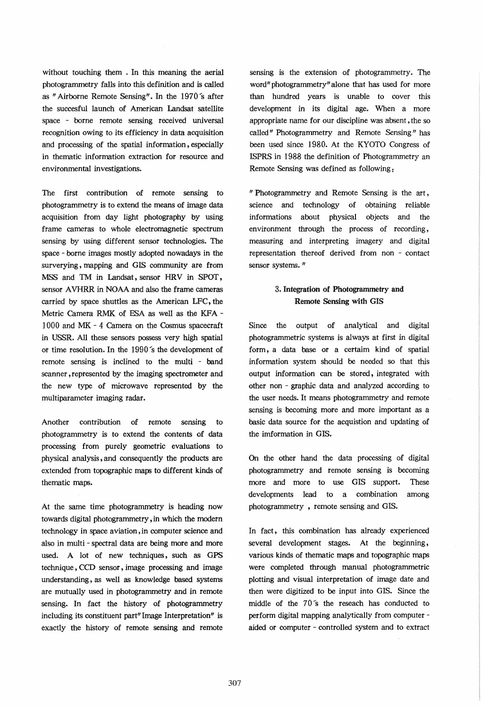without touching them . In this meaning the aerial photogrammetry falls into this definition and is called as " Airborne Remote Sensing". In the 1970's after the succesful launch of American Landsat satellite space - borne remote sensing received universal recognition owing to its efficiency in data acquisition and processing of the spatial information, especially in thematic information extraction for resource and environmental investigations.

The first contribution of remote sensing to photogrammetry is to extend the means of image data acquisition from day light photography by using frame cameras to whole electromagnetic spectrum sensing by using different sensor technologies. The space - borne images mostly adopted nowadays in the surverying, mapping and GIS community are from MSS and TM in Landsat, sensor HRV in SPOT, sensor AVHRR in NOAA and also the frame cameras carried by space shuttles as the American LFC, the Metric Camera RMK of ESA as well as the KFA -1 000 and MK - 4 Camera on the Cosmus spacecraft in USSR. All these sensors possess very high spatial or time resolution. In the 1990's the development of remote sensing is inclined to the multi - band scanner, represented by the imaging spectrometer and the new type of microwave represented by the multiparameter imaging radar.

Another contribution of remote sensing to photogrammetry is to extend the contents of data processing from purely geometric evaluations to physical analysis, and consequently the products are extended from topographic maps to different kinds of thematic maps.

At the same time photogrammetry is heading now towards digital photogrammetry, in which the modern technology in space aviation, in computer science and also in multi - spectral data are being more and more used. A lot of new techniques, such as GPS technique, CCD sensor, image processing and image understanding, as well as knowledge based systems are mutually used in photogrammetry and in remote sensing. In fact the history of photogrammetry including its constituent part" Image Interpretation" is exactly the history of remote sensing and remote sensing is the extension of photogrammetry. The word" photogrammetry" alone that has used for more than hundred years is unable to cover this development in its digital age. When a more appropriate name for our discipline was absent, the so called" Photogrammetry and Remote Sensing" has been used since 1980. At the KYOTO Congress of ISPRS in 1988 the definition of Photogrammetry an Remote Sensing was defined as following:

"Photogrammetry and Remote Sensing is the art, science and technology of obtaining reliable informations about physical objects and the environment through the process of recording, measuring and interpreting imagery and digital representation thereof derived from non - contact sensor systems."

## 3. Integration of Photogrammetryand Remote Sensing with GIS

Since the output of analytical and digital photogrammetric systems is always at first in digital form, a data base or a certaim kind of spatial information system should be needed so that this output information can be stored, integrated with other non - graphic data and analyzed according to the user needs. It means photogrammetry and remote sensing is becoming more and more important as a basic data source for the acquistion and updating of the imformation in GIS.

On the other hand the data processing of digital photogrammetry and remote sensing is becoming more and more to use GIS support. These developments lead to a combination among photogrammetry , remote sensing and GIS.

In fact, this combination has already experienced several development stages. At the beginning, various kinds of thematic maps and topographic maps were completed through manual photogrammetric plotting and visual interpretation of image date and then were digitized to be input into GIS. Since the middle of the 70"8 the reseach has conducted to perform digital mapping analytically from computer aided or computer - controlled system and to extract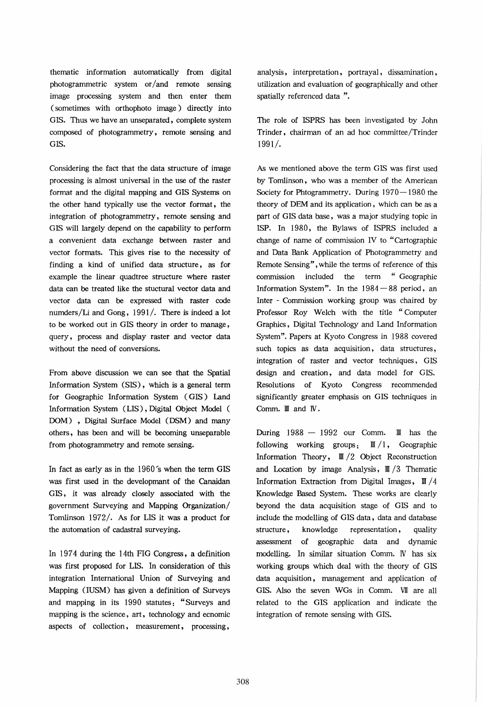thematic information automatically from digital photogrammetric system or/and remote sensing image processing system and then enter them (sometimes with orthophoto image) directly into GIS. Thus we have an unseparated, complete system composed of photogrammetry, remote sensing and GIS.

Considering the fact that the data structure of image processing is almost universal in the use of the raster format and the digital mapping and GIS Systems on the other hand typically use the vector format, the integration of photogrammetry, remote sensing and GIS will largely depend on the capability to perform a convenient data exchange between raster and vector formats. This gives rise to the necessity of finding a kind of unified data structure, as for example the linear quadtree structure where raster data can be treated like the stuctural vector data and vector data can be expressed with raster code numders/Li and Gong, 1991/. There is indeed a lot to be worked out in GIS theory in order to manage, query, process and display raster and vector data without the need of conversions.

From above discussion we can see that the Spatial Information System (SIS), which is a general term for Geographic Information System (GIS) Land Information System (LIS), Digital Object Model ( DOM) , Digital Surface Model (DSM) and many others, has been and will be becoming unseparable from photogrammetry and remote sensing.

In fact as early as in the  $1960^{\circ}$ s when the term GIS was first used in the developmant of the Canaidan GIS, it was already closely associated with the government Surveying and Mapping Organization/ Tomlinson 1972/. As for LIS it was a product for the automation of cadastral surveying.

In 1974 during the ] 4th FIG Congress, a definition was first proposed for LIS. In consideration of this integration International Union of Surveying and Mapping (IUSM) has given a definition of Surveys and mapping in its 1990 statutes: "Surveys and mapping is the science, art, technology and ecnomic aspects of collection, measurement, processing,

analysis, interpretation, portrayal, dissamination, utilization and evaluation of geographically and other spatially referenced data ".

The role of ISPRS has been investigated by John Trinder, chairman of an ad hoc committee /Trinder 1991/.

As we mentioned above the term GIS was first used by Tomlinson, who was a member of the American Society for Phtogrammetry. During  $1970-1980$  the theory of DEM and its application, which can be as a part of GIS data base, was a major studying topic in ISP. In 1980, the Bylaws of ISPRS included a change of name of commission IV to "Cartographic and Data Bank Application of Photogrammetry and Remote Sensing" , while the terms of reference of this commission included the term "Geographic Information System". In the  $1984 - 88$  period, an Inter - Commission working group was chaired by Professor Roy Welch with the title "Computer Graphics, Digital Technology and Land Information System". Papers at Kyoto Congress in 1988 covered such topics as data acquisition, data structures, integration of raster and vector techniques, GIS design and creation, and data model for GIS. Resolutions of Kyoto Congress recommended significantly greater emphasis on GIS techniques in Comm.  $\mathbb{I}$  and  $\mathbb{N}$ .

During  $1988 - 1992$  our Comm. II has the following working groups:  $\mathbb{I}/1$ , Geographic Information Theory,  $\mathbb{I}/2$  Object Reconstruction and Location by image Analysis,  $\mathbb{I}/3$  Thematic Information Extraction from Digital Images,  $\mathbb{I}/4$ Knowledge Based System. These works are clearly beyond the data acquisition stage of GIS and to include the modelling of GIS data, data and database structure, knowledge representation, quality assessment of geographic data and dynamic modelling. In similar situation Comm. IV has six working groups which deal with the theory of GIS data acquisition, management and application of GIS. Also the seven WGs in Comm. VII are all related to the GIS application and indicate the integration of remote sensing with GIS.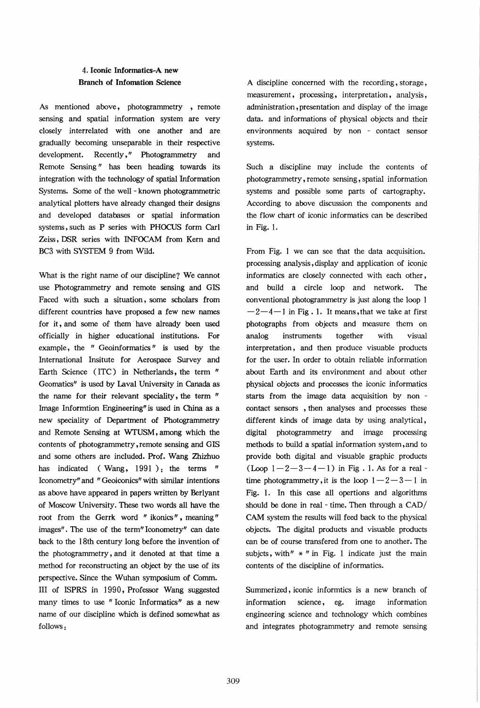### 4. Iconic Informatics-A new Branch of Infomation Science

As mentioned above, photogrammetry, remote sensing and spatial information system are very closely interrelated with one another and are gradually becoming unseparable in their respective development. Recently," Photogrammetry and Remote Sensing" has been heading towards its integration with the technology of spatial Information Systems. Some of the well - known photogrammetric analytical plotters have already changed their designs and developed databases or spatial information systems, such as P series with PHOCUS form Carl Zeiss, DSR series with INFOCAM from Kern and BC3 with SYSTEM 9 from Wild.

What is the right name of our discipline? We cannot use Photogrammetry and remote sensing and GIS Faced with such a situation, some scholars from different countries have proposed a few new names for it, and some of them have already been used officially in higher educational institutions. For example, the " Geoinformatics" is used by the International Insitute for Aerospace Survey and Earth Science (ITC) in Netherlands, the term " Geomatics" is used by Laval University in Canada as the name for their relevant speciality, the term " Image Informtion Engineering" is used in China as a new speciality of Department of Photogrammetry and Remote Sensing at WTUSM, among which the contents of photogrammetry, remote sensing and GIS and some others are included. Prof. Wang Zhizhuo has indicated (Wang, 1991); the terms " Iconometry" and "Geoiconics" with similar intentions as above have appeared in papers written by Berlyant of Moscow University. These two words all have the root from the Gerrk word "ikonics", meaning" images". The use of the term" Iconometry" can date back to the 18th century long before the invention of the photogrammetry, and it denoted at that time a method for reconstructing an object by the use of its perspective. Since the Wuhan symposium of Comm. III of ISPRS in 1990, Professor Wang suggested many times to use "Iconic Informatics" as a new name of our discipline which is defined somewhat as follows:

A discipline concerned with the recording, storage, measurement, processing, interpretation, analysis, administration, presentation and display of the image data. and informations of physical objects and their environments acquired by non - contact sensor systems.

Such a discipline may include the contents of photogrammetry, remote sensing, spatial information systems and possible some parts of cartography. According to above discussion the components and the flow chart of iconic informatics can be described in Fig. 1.

From Fig. ] we can see that the data acquisition. processing analysis, display and application of iconic informatics are closely connected with each other, and build a circle loop and network. The conventional photogrammetry is just along the loop 1  $-2-4-1$  in Fig. 1. It means, that we take at first photographs from objects and measure them on analog instruments together with visual interpretation, and then produce visuable products for the user. In order to obtain reliable information about Earth and its environment and about other physical objects and processes the iconic informatics starts from the image data acquisition by non contact sensors, then analyses and processes these different kinds of image data by using analytical, digital photogrammetry and image processing methods to build a spatial information system, and to provide both digital and visuable graphic products  $(Loop 1-2-3-4-1)$  in Fig. 1. As for a realtime photogrammetry, it is the loop  $1 - 2 - 3 - 1$  in Fig. 1. In this case all opertions and algorithms should be done in real - time. Then through a CAD/ CAM system the results will feed back to the physical objects. The digital products and visuable products can be of course transfered from one to another. The subjets, with"  $*$  " in Fig. 1 indicate just the main contents of the discipline of informatics.

Summerized, iconic informtics is a new branch of information science, eg. image information engineering science and technology which combines and integrates photogrammetry and remote sensing